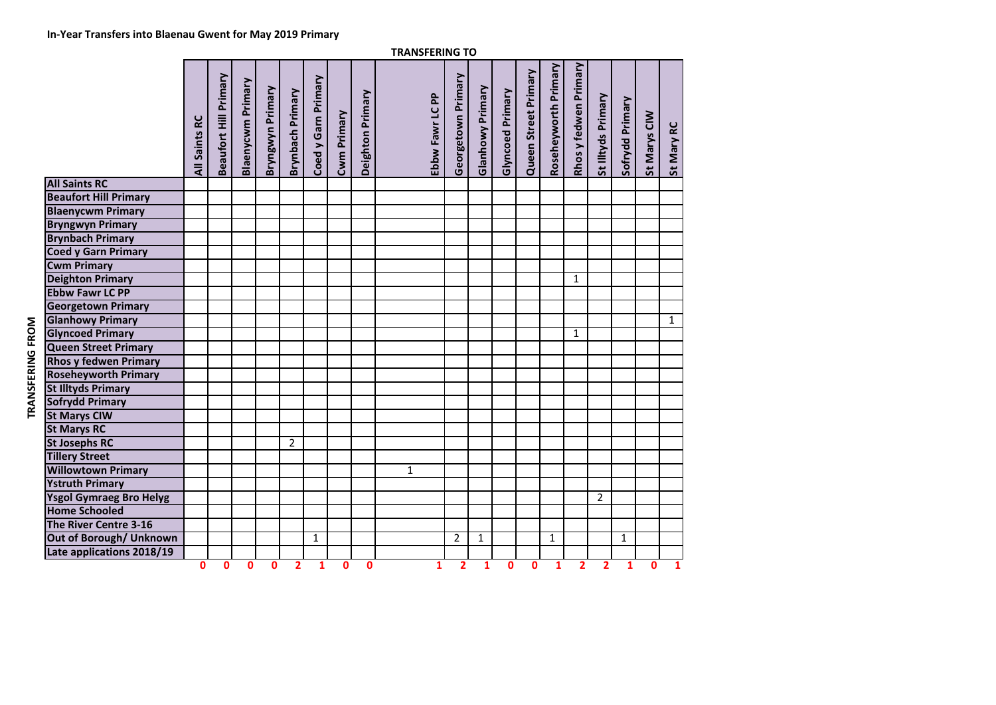**0**

|                                | <b>TRANSFERING TO</b> |                       |                   |                  |                  |                     |             |                  |                 |                    |                         |                         |                      |                      |                       |                    |                 |              |              |
|--------------------------------|-----------------------|-----------------------|-------------------|------------------|------------------|---------------------|-------------|------------------|-----------------|--------------------|-------------------------|-------------------------|----------------------|----------------------|-----------------------|--------------------|-----------------|--------------|--------------|
|                                | All Saints RC         | Beaufort Hill Primary | Blaenycwm Primary | Bryngwyn Primary | Brynbach Primary | Coed y Garn Primary | Cwm Primary | Deighton Primary | Ebbw Fawr LC PP | Georgetown Primary | <b>Glanhowy Primary</b> | <b>Glyncoed Primary</b> | Queen Street Primary | Roseheyworth Primary | Rhos y fedwen Primary | St Illtyds Primary | Sofrydd Primary | St Marys CIW | St Mary RC   |
| <b>All Saints RC</b>           |                       |                       |                   |                  |                  |                     |             |                  |                 |                    |                         |                         |                      |                      |                       |                    |                 |              |              |
| <b>Beaufort Hill Primary</b>   |                       |                       |                   |                  |                  |                     |             |                  |                 |                    |                         |                         |                      |                      |                       |                    |                 |              |              |
| <b>Blaenycwm Primary</b>       |                       |                       |                   |                  |                  |                     |             |                  |                 |                    |                         |                         |                      |                      |                       |                    |                 |              |              |
| <b>Bryngwyn Primary</b>        |                       |                       |                   |                  |                  |                     |             |                  |                 |                    |                         |                         |                      |                      |                       |                    |                 |              |              |
| <b>Brynbach Primary</b>        |                       |                       |                   |                  |                  |                     |             |                  |                 |                    |                         |                         |                      |                      |                       |                    |                 |              |              |
| <b>Coed y Garn Primary</b>     |                       |                       |                   |                  |                  |                     |             |                  |                 |                    |                         |                         |                      |                      |                       |                    |                 |              |              |
| <b>Cwm Primary</b>             |                       |                       |                   |                  |                  |                     |             |                  |                 |                    |                         |                         |                      |                      |                       |                    |                 |              |              |
| <b>Deighton Primary</b>        |                       |                       |                   |                  |                  |                     |             |                  |                 |                    |                         |                         |                      |                      | $\mathbf{1}$          |                    |                 |              |              |
| <b>Ebbw Fawr LC PP</b>         |                       |                       |                   |                  |                  |                     |             |                  |                 |                    |                         |                         |                      |                      |                       |                    |                 |              |              |
| <b>Georgetown Primary</b>      |                       |                       |                   |                  |                  |                     |             |                  |                 |                    |                         |                         |                      |                      |                       |                    |                 |              |              |
| <b>Glanhowy Primary</b>        |                       |                       |                   |                  |                  |                     |             |                  |                 |                    |                         |                         |                      |                      |                       |                    |                 |              | $\mathbf{1}$ |
| <b>Glyncoed Primary</b>        |                       |                       |                   |                  |                  |                     |             |                  |                 |                    |                         |                         |                      |                      | $\mathbf{1}$          |                    |                 |              |              |
| <b>Queen Street Primary</b>    |                       |                       |                   |                  |                  |                     |             |                  |                 |                    |                         |                         |                      |                      |                       |                    |                 |              |              |
| <b>Rhos y fedwen Primary</b>   |                       |                       |                   |                  |                  |                     |             |                  |                 |                    |                         |                         |                      |                      |                       |                    |                 |              |              |
| <b>Roseheyworth Primary</b>    |                       |                       |                   |                  |                  |                     |             |                  |                 |                    |                         |                         |                      |                      |                       |                    |                 |              |              |
| <b>St Illtyds Primary</b>      |                       |                       |                   |                  |                  |                     |             |                  |                 |                    |                         |                         |                      |                      |                       |                    |                 |              |              |
| <b>Sofrydd Primary</b>         |                       |                       |                   |                  |                  |                     |             |                  |                 |                    |                         |                         |                      |                      |                       |                    |                 |              |              |
| <b>St Marys CIW</b>            |                       |                       |                   |                  |                  |                     |             |                  |                 |                    |                         |                         |                      |                      |                       |                    |                 |              |              |
| <b>St Marys RC</b>             |                       |                       |                   |                  |                  |                     |             |                  |                 |                    |                         |                         |                      |                      |                       |                    |                 |              |              |
| <b>St Josephs RC</b>           |                       |                       |                   |                  | $\overline{2}$   |                     |             |                  |                 |                    |                         |                         |                      |                      |                       |                    |                 |              |              |
| <b>Tillery Street</b>          |                       |                       |                   |                  |                  |                     |             |                  |                 |                    |                         |                         |                      |                      |                       |                    |                 |              |              |
| <b>Willowtown Primary</b>      |                       |                       |                   |                  |                  |                     |             |                  | $\mathbf{1}$    |                    |                         |                         |                      |                      |                       |                    |                 |              |              |
| <b>Ystruth Primary</b>         |                       |                       |                   |                  |                  |                     |             |                  |                 |                    |                         |                         |                      |                      |                       |                    |                 |              |              |
| <b>Ysgol Gymraeg Bro Helyg</b> |                       |                       |                   |                  |                  |                     |             |                  |                 |                    |                         |                         |                      |                      |                       | 2                  |                 |              |              |
| <b>Home Schooled</b>           |                       |                       |                   |                  |                  |                     |             |                  |                 |                    |                         |                         |                      |                      |                       |                    |                 |              |              |
| The River Centre 3-16          |                       |                       |                   |                  |                  |                     |             |                  |                 |                    |                         |                         |                      |                      |                       |                    |                 |              |              |
| Out of Borough/ Unknown        |                       |                       |                   |                  |                  | 1                   |             |                  |                 | $\overline{2}$     | 1                       |                         |                      | $\mathbf{1}$         |                       |                    | $\mathbf{1}$    |              |              |
| Late applications 2018/19      |                       |                       |                   |                  |                  |                     |             |                  |                 |                    |                         |                         |                      |                      |                       |                    |                 |              |              |

**<sup>0</sup> <sup>0</sup> <sup>0</sup> <sup>2</sup> <sup>1</sup> <sup>0</sup> <sup>0</sup> <sup>1</sup> <sup>2</sup> <sup>1</sup> <sup>0</sup> <sup>0</sup> <sup>1</sup> <sup>2</sup> <sup>2</sup> <sup>1</sup> <sup>0</sup> <sup>1</sup>**

TRANSFERING FROM **TRANSFERING FROM**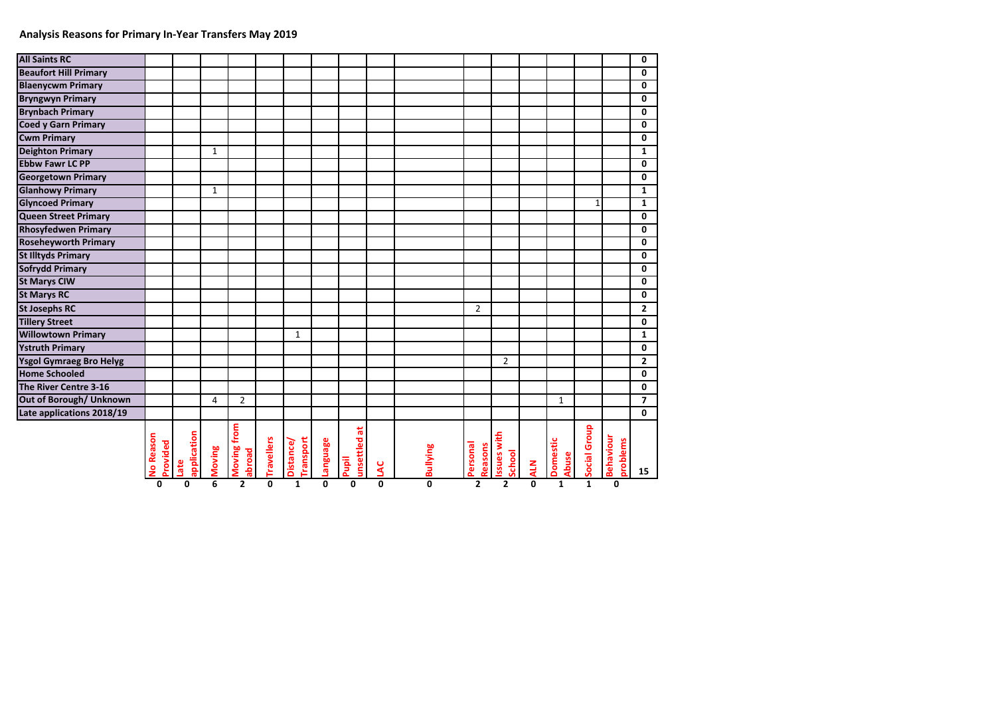## **Analysis Reasons for Primary In-Year Transfers May 2019**

| <b>All Saints RC</b>           |                              |                     |              |                       |                   |                              |                 |                         |   |                 |                     |                             |            |                                 |              |                       | 0                       |
|--------------------------------|------------------------------|---------------------|--------------|-----------------------|-------------------|------------------------------|-----------------|-------------------------|---|-----------------|---------------------|-----------------------------|------------|---------------------------------|--------------|-----------------------|-------------------------|
| <b>Beaufort Hill Primary</b>   |                              |                     |              |                       |                   |                              |                 |                         |   |                 |                     |                             |            |                                 |              |                       | $\overline{\mathbf{0}}$ |
| <b>Blaenycwm Primary</b>       |                              |                     |              |                       |                   |                              |                 |                         |   |                 |                     |                             |            |                                 |              |                       | $\mathbf{0}$            |
| <b>Bryngwyn Primary</b>        |                              |                     |              |                       |                   |                              |                 |                         |   |                 |                     |                             |            |                                 |              |                       | $\mathbf 0$             |
| <b>Brynbach Primary</b>        |                              |                     |              |                       |                   |                              |                 |                         |   |                 |                     |                             |            |                                 |              |                       | $\mathbf{0}$            |
| <b>Coed y Garn Primary</b>     |                              |                     |              |                       |                   |                              |                 |                         |   |                 |                     |                             |            |                                 |              |                       | $\mathbf 0$             |
| <b>Cwm Primary</b>             |                              |                     |              |                       |                   |                              |                 |                         |   |                 |                     |                             |            |                                 |              |                       | $\mathbf 0$             |
| <b>Deighton Primary</b>        |                              |                     | $\mathbf{1}$ |                       |                   |                              |                 |                         |   |                 |                     |                             |            |                                 |              |                       | $\mathbf{1}$            |
| <b>Ebbw Fawr LC PP</b>         |                              |                     |              |                       |                   |                              |                 |                         |   |                 |                     |                             |            |                                 |              |                       | $\mathbf{0}$            |
| <b>Georgetown Primary</b>      |                              |                     |              |                       |                   |                              |                 |                         |   |                 |                     |                             |            |                                 |              |                       | $\mathbf 0$             |
| <b>Glanhowy Primary</b>        |                              |                     | $\mathbf{1}$ |                       |                   |                              |                 |                         |   |                 |                     |                             |            |                                 |              |                       | $\mathbf{1}$            |
| <b>Glyncoed Primary</b>        |                              |                     |              |                       |                   |                              |                 |                         |   |                 |                     |                             |            |                                 | $\mathbf 1$  |                       | $\mathbf{1}$            |
| <b>Queen Street Primary</b>    |                              |                     |              |                       |                   |                              |                 |                         |   |                 |                     |                             |            |                                 |              |                       | $\mathbf{0}$            |
| <b>Rhosyfedwen Primary</b>     |                              |                     |              |                       |                   |                              |                 |                         |   |                 |                     |                             |            |                                 |              |                       | $\mathbf 0$             |
| <b>Roseheyworth Primary</b>    |                              |                     |              |                       |                   |                              |                 |                         |   |                 |                     |                             |            |                                 |              |                       | $\mathbf{0}$            |
| <b>St Illtyds Primary</b>      |                              |                     |              |                       |                   |                              |                 |                         |   |                 |                     |                             |            |                                 |              |                       | $\mathbf{0}$            |
| <b>Sofrydd Primary</b>         |                              |                     |              |                       |                   |                              |                 |                         |   |                 |                     |                             |            |                                 |              |                       | $\mathbf 0$             |
| <b>St Marys CIW</b>            |                              |                     |              |                       |                   |                              |                 |                         |   |                 |                     |                             |            |                                 |              |                       | $\mathbf{0}$            |
| <b>St Marys RC</b>             |                              |                     |              |                       |                   |                              |                 |                         |   |                 |                     |                             |            |                                 |              |                       | $\mathbf 0$             |
| <b>St Josephs RC</b>           |                              |                     |              |                       |                   |                              |                 |                         |   |                 | $\overline{2}$      |                             |            |                                 |              |                       | $\overline{2}$          |
| <b>Tillery Street</b>          |                              |                     |              |                       |                   |                              |                 |                         |   |                 |                     |                             |            |                                 |              |                       | $\mathbf 0$             |
| <b>Willowtown Primary</b>      |                              |                     |              |                       |                   | $1\,$                        |                 |                         |   |                 |                     |                             |            |                                 |              |                       | $\mathbf{1}$            |
| <b>Ystruth Primary</b>         |                              |                     |              |                       |                   |                              |                 |                         |   |                 |                     |                             |            |                                 |              |                       | $\mathbf 0$             |
| <b>Ysgol Gymraeg Bro Helyg</b> |                              |                     |              |                       |                   |                              |                 |                         |   |                 |                     | $\overline{2}$              |            |                                 |              |                       | $\overline{2}$          |
| <b>Home Schooled</b>           |                              |                     |              |                       |                   |                              |                 |                         |   |                 |                     |                             |            |                                 |              |                       | $\mathbf{0}$            |
| The River Centre 3-16          |                              |                     |              |                       |                   |                              |                 |                         |   |                 |                     |                             |            |                                 |              |                       | $\mathbf 0$             |
| Out of Borough/ Unknown        |                              |                     | 4            | $\overline{2}$        |                   |                              |                 |                         |   |                 |                     |                             |            | $\mathbf{1}$                    |              |                       | $\overline{7}$          |
| Late applications 2018/19      |                              |                     |              |                       |                   |                              |                 |                         |   |                 |                     |                             |            |                                 |              |                       | $\mathbf{0}$            |
|                                | <b>Vo Reason</b><br>Provided | application<br>Late | Moving       | Moving from<br>abroad | <b>Travellers</b> | Transport<br><b>Distance</b> | <b>Language</b> | ã<br>unsettled<br>Pupil | ع | <b>Bullying</b> | Personal<br>Reasons | ssues with<br><b>School</b> | <b>ALN</b> | <b>Domestic</b><br><b>Abuse</b> | Social Group | Behaviour<br>problems | 15                      |
|                                | 0                            | $\mathbf{0}$        | 6            | $\overline{2}$        | $\mathbf{0}$      | $\mathbf{1}$                 | 0               | 0                       | 0 | $\mathbf{0}$    | $\overline{2}$      | $\overline{2}$              | 0          | $\mathbf{1}$                    | $\mathbf{1}$ | $\mathbf{0}$          |                         |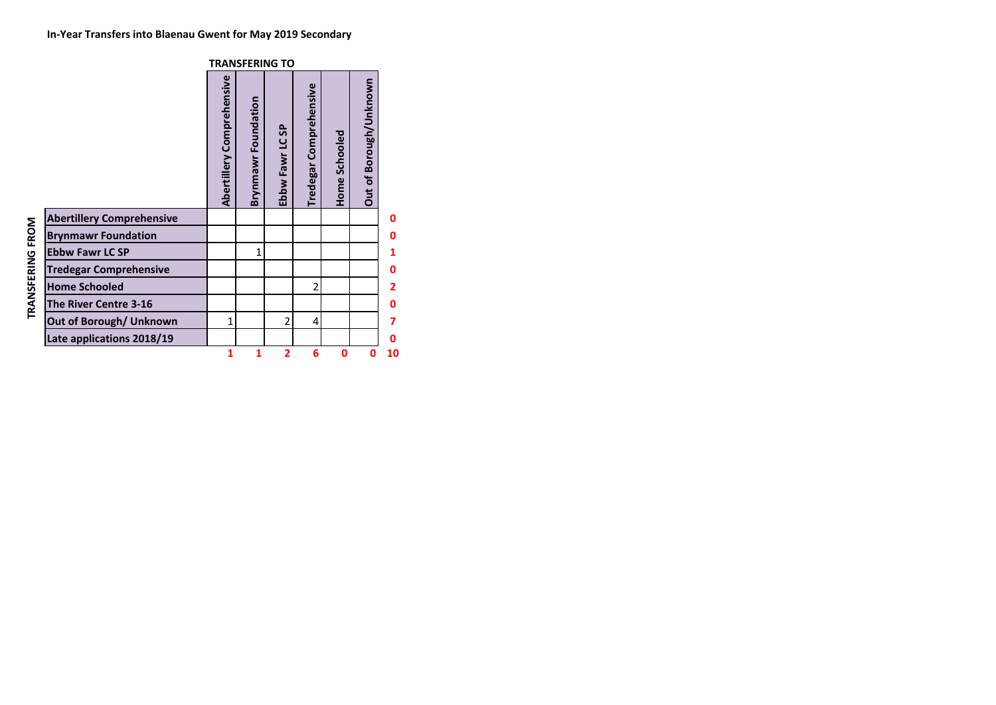|                                  | <b>TRANSFERING TO</b>     |                     |                          |                                  |               |                        |    |  |  |  |  |  |
|----------------------------------|---------------------------|---------------------|--------------------------|----------------------------------|---------------|------------------------|----|--|--|--|--|--|
|                                  | Abertillery Comprehensive | Brynmawr Foundation | \$<br>Ebbw Fawr LC       | Comprehensive<br><b>Tredegar</b> | Home Schooled | Out of Borough/Unknown |    |  |  |  |  |  |
| <b>Abertillery Comprehensive</b> |                           |                     |                          |                                  |               |                        | Ω  |  |  |  |  |  |
| <b>Brynmawr Foundation</b>       |                           |                     |                          |                                  |               |                        | 0  |  |  |  |  |  |
| <b>Ebbw Fawr LC SP</b>           |                           | 1                   |                          |                                  |               |                        |    |  |  |  |  |  |
| <b>Tredegar Comprehensive</b>    |                           |                     |                          |                                  |               |                        | 0  |  |  |  |  |  |
| <b>Home Schooled</b>             |                           |                     |                          | $\overline{2}$                   |               |                        | 2  |  |  |  |  |  |
| The River Centre 3-16            |                           |                     |                          |                                  |               |                        | ŋ  |  |  |  |  |  |
| Out of Borough/ Unknown          | 1                         |                     | $\overline{\mathcal{L}}$ | 4                                |               |                        | 7  |  |  |  |  |  |
| Late applications 2018/19        |                           |                     |                          |                                  |               |                        | 0  |  |  |  |  |  |
|                                  | 1                         | 1                   | $\overline{2}$           | 6                                | $\mathbf 0$   | 0                      | 10 |  |  |  |  |  |